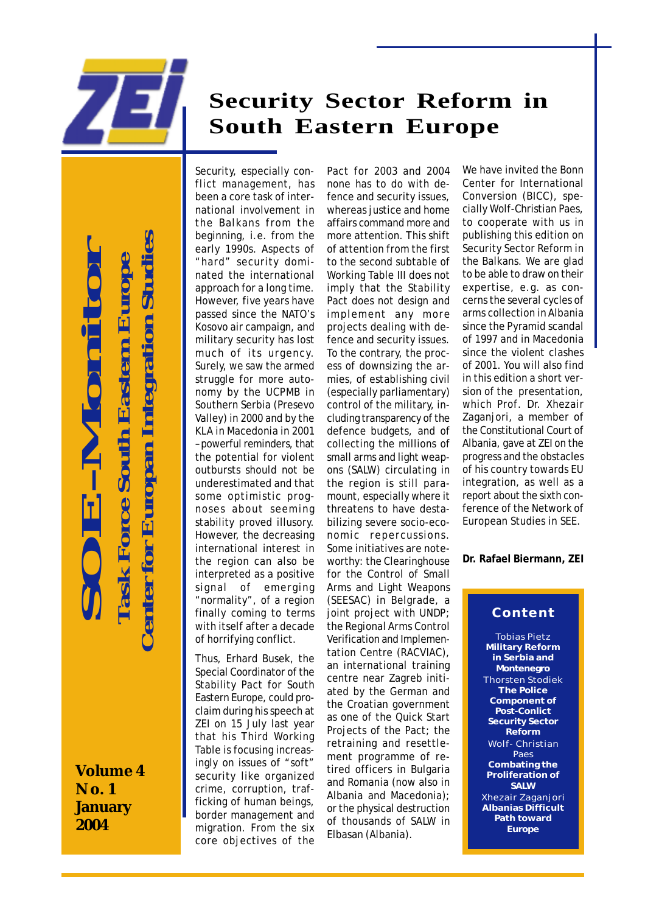

# **Security Sector Reform in South Eastern Europe**

 **Center for Europan Integration Studies SOE-Monitor** enter for Europan Integration Studi  **Task Force South Eastern Europe Task Force South Eastern Euro** 

**Volume 4 No. 1 January 2004**

Security, especially conflict management, has been a core task of international involvement in the Balkans from the beginning, i.e. from the early 1990s. Aspects of "hard" security dominated the international approach for a long time. However, five years have passed since the NATO's Kosovo air campaign, and military security has lost much of its urgency. Surely, we saw the armed struggle for more autonomy by the UCPMB in Southern Serbia (Presevo Valley) in 2000 and by the KLA in Macedonia in 2001 – powerful reminders, that the potential for violent outbursts should not be underestimated and that some optimistic prognoses about seeming stability proved illusory. However, the decreasing international interest in the region can also be interpreted as a positive signal of emerging "normality", of a region finally coming to terms with itself after a decade of horrifying conflict.

Thus, Erhard Busek, the Special Coordinator of the Stability Pact for South Eastern Europe, could proclaim during his speech at ZEI on 15 July last year that his Third Working Table is focusing increasingly on issues of "soft" security like organized crime, corruption, trafficking of human beings, border management and migration. From the six core objectives of the

Pact for 2003 and 2004 none has to do with defence and security issues, whereas justice and home affairs command more and more attention. This shift of attention from the first to the second subtable of Working Table III does not imply that the Stability Pact does not design and implement any more projects dealing with defence and security issues. To the contrary, the process of downsizing the armies, of establishing civil (especially parliamentary) control of the military, including transparency of the defence budgets, and of collecting the millions of small arms and light weapons (SALW) circulating in the region is still paramount, especially where it threatens to have destabilizing severe socio-economic repercussions. Some initiatives are noteworthy: the Clearinghouse for the Control of Small Arms and Light Weapons (SEESAC) in Belgrade, a joint project with UNDP; the Regional Arms Control Verification and Implementation Centre (RACVIAC), an international training centre near Zagreb initiated by the German and the Croatian government as one of the Quick Start Projects of the Pact; the retraining and resettlement programme of retired officers in Bulgaria and Romania (now also in Albania and Macedonia); or the physical destruction of thousands of SALW in Elbasan (Albania).

We have invited the Bonn Center for International Conversion (BICC), specially Wolf-Christian Paes, to cooperate with us in publishing this edition on Security Sector Reform in the Balkans. We are glad to be able to draw on their expertise, e.g. as concerns the several cycles of arms collection in Albania since the Pyramid scandal of 1997 and in Macedonia since the violent clashes of 2001. You will also find in this edition a short version of the presentation, which Prof. Dr. Xhezair Zaganjori, a member of the Constitutional Court of Albania, gave at ZEI on the progress and the obstacles of his country towards EU integration, as well as a report about the sixth conference of the Network of European Studies in SEE.

**Dr. Rafael Biermann, ZEI**

## **Content**

Tobias Pietz **Military Reform in Serbia and Montenegro** Thorsten Stodiek **The Police Component of Post-Conlict Security Sector Reform** Wolf- Christian Paes **Combating the Proliferation of SALW** Xhezair Zaganjori **Albanias Difficult Path toward Europe**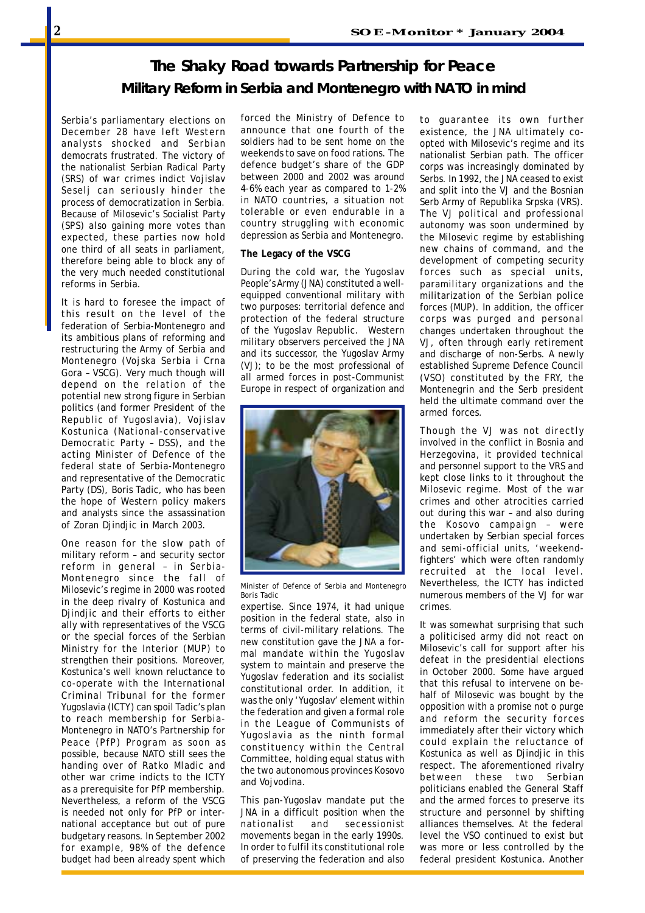## **The Shaky Road towards Partnership for Peace Military Reform in Serbia and Montenegro with NATO in mind**

Serbia's parliamentary elections on December 28 have left Western analysts shocked and Serbian democrats frustrated. The victory of the nationalist Serbian Radical Party (SRS) of war crimes indict Vojislav Seselj can seriously hinder the process of democratization in Serbia. Because of Milosevic's Socialist Party (SPS) also gaining more votes than expected, these parties now hold one third of all seats in parliament, therefore being able to block any of the very much needed constitutional reforms in Serbia.

It is hard to foresee the impact of this result on the level of the federation of Serbia-Montenegro and its ambitious plans of reforming and restructuring the Army of Serbia and Montenegro (Vojska Serbia i Crna Gora – VSCG). Very much though will depend on the relation of the potential new strong figure in Serbian politics (and former President of the Republic of Yugoslavia), Vojislav Kostunica (National-conservative Democratic Party – DSS), and the acting Minister of Defence of the federal state of Serbia-Montenegro and representative of the Democratic Party (DS), Boris Tadic, who has been the hope of Western policy makers and analysts since the assassination of Zoran Djindjic in March 2003.

One reason for the slow path of military reform – and security sector reform in general – in Serbia-Montenegro since the fall of Milosevic's regime in 2000 was rooted in the deep rivalry of Kostunica and Djindjic and their efforts to either ally with representatives of the VSCG or the special forces of the Serbian Ministry for the Interior (MUP) to strengthen their positions. Moreover, Kostunica's well known reluctance to co-operate with the International Criminal Tribunal for the former Yugoslavia (ICTY) can spoil Tadic's plan to reach membership for Serbia-Montenegro in NATO's Partnership for Peace (PfP) Program as soon as possible, because NATO still sees the handing over of Ratko Mladic and other war crime indicts to the ICTY as a prerequisite for PfP membership. Nevertheless, a reform of the VSCG is needed not only for PfP or international acceptance but out of pure budgetary reasons. In September 2002 for example, 98% of the defence budget had been already spent which forced the Ministry of Defence to announce that one fourth of the soldiers had to be sent home on the weekends to save on food rations. The defence budget's share of the GDP between 2000 and 2002 was around 4-6% each year as compared to 1-2% in NATO countries, a situation not tolerable or even endurable in a country struggling with economic depression as Serbia and Montenegro.

#### **The Legacy of the VSCG**

During the cold war, the Yugoslav People's Army (JNA) constituted a wellequipped conventional military with two purposes: territorial defence and protection of the federal structure of the Yugoslav Republic. Western military observers perceived the JNA and its successor, the Yugoslav Army (VJ); to be the most professional of all armed forces in post-Communist Europe in respect of organization and



*Minister of Defence of Serbia and Montenegro Boris Tadic*

expertise. Since 1974, it had unique position in the federal state, also in terms of civil-military relations. The new constitution gave the JNA a formal mandate within the Yugoslav system to maintain and preserve the Yugoslav federation and its socialist constitutional order. In addition, it was the only 'Yugoslav' element within the federation and given a formal role in the League of Communists of Yugoslavia as the ninth formal constituency within the Central Committee, holding equal status with the two autonomous provinces Kosovo and Vojvodina.

This pan-Yugoslav mandate put the JNA in a difficult position when the nationalist and secessionist movements began in the early 1990s. In order to fulfil its constitutional role of preserving the federation and also to guarantee its own further existence, the JNA ultimately coopted with Milosevic's regime and its nationalist Serbian path. The officer corps was increasingly dominated by Serbs. In 1992, the JNA ceased to exist and split into the VJ and the Bosnian Serb Army of Republika Srpska (VRS). The VJ political and professional autonomy was soon undermined by the Milosevic regime by establishing new chains of command, and the development of competing security forces such as special units, paramilitary organizations and the militarization of the Serbian police forces (MUP). In addition, the officer corps was purged and personal changes undertaken throughout the VJ, often through early retirement and discharge of non-Serbs. A newly established Supreme Defence Council (VSO) constituted by the FRY, the Montenegrin and the Serb president held the ultimate command over the armed forces.

Though the VJ was not directly involved in the conflict in Bosnia and Herzegovina, it provided technical and personnel support to the VRS and kept close links to it throughout the Milosevic regime. Most of the war crimes and other atrocities carried out during this war – and also during the Kosovo campaign – were undertaken by Serbian special forces and semi-official units, 'weekendfighters' which were often randomly recruited at the local level. Nevertheless, the ICTY has indicted numerous members of the VJ for war crimes.

It was somewhat surprising that such a politicised army did not react on Milosevic's call for support after his defeat in the presidential elections in October 2000. Some have argued that this refusal to intervene on behalf of Milosevic was bought by the opposition with a promise not o purge and reform the security forces immediately after their victory which could explain the reluctance of Kostunica as well as Djindjic in this respect. The aforementioned rivalry between these two Serbian politicians enabled the General Staff and the armed forces to preserve its structure and personnel by shifting alliances themselves. At the federal level the VSO continued to exist but was more or less controlled by the federal president Kostunica. Another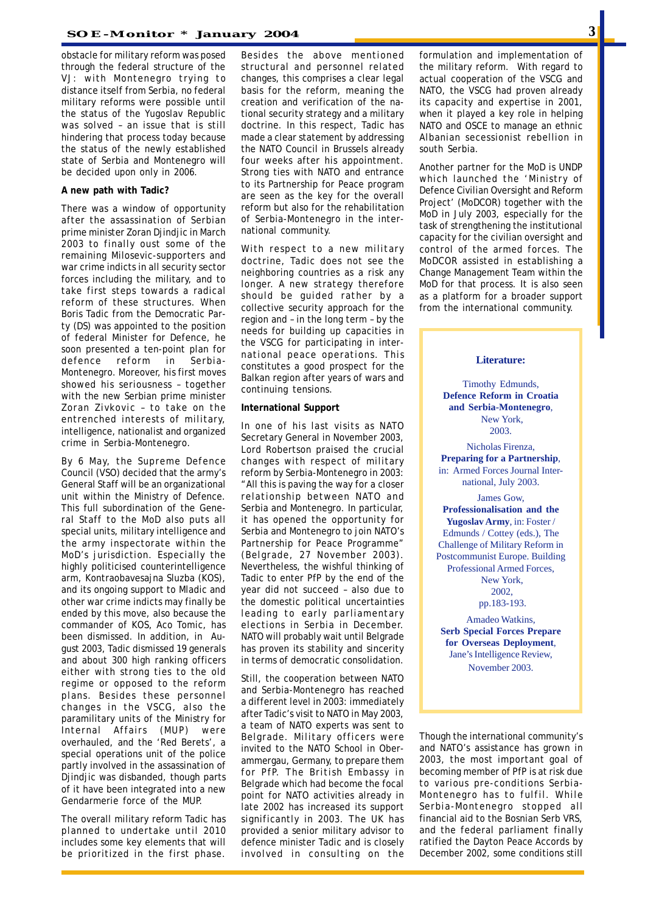obstacle for military reform was posed through the federal structure of the VJ: with Montenegro trying to distance itself from Serbia, no federal military reforms were possible until the status of the Yugoslav Republic was solved – an issue that is still hindering that process today because the status of the newly established state of Serbia and Montenegro will be decided upon only in 2006.

#### **A new path with Tadic?**

There was a window of opportunity after the assassination of Serbian prime minister Zoran Djindjic in March 2003 to finally oust some of the remaining Milosevic-supporters and war crime indicts in all security sector forces including the military, and to take first steps towards a radical reform of these structures. When Boris Tadic from the Democratic Party (DS) was appointed to the position of federal Minister for Defence, he soon presented a ten-point plan for defence reform in Serbia-Montenegro. Moreover, his first moves showed his seriousness – together with the new Serbian prime minister Zoran Zivkovic – to take on the entrenched interests of military, intelligence, nationalist and organized crime in Serbia-Montenegro.

By 6 May, the Supreme Defence Council (VSO) decided that the army's General Staff will be an organizational unit within the Ministry of Defence. This full subordination of the General Staff to the MoD also puts all special units, military intelligence and the army inspectorate within the MoD's jurisdiction. Especially the highly politicised counterintelligence arm, Kontraobavesajna Sluzba (KOS), and its ongoing support to Mladic and other war crime indicts may finally be ended by this move, also because the commander of KOS, Aco Tomic, has been dismissed. In addition, in August 2003, Tadic dismissed 19 generals and about 300 high ranking officers either with strong ties to the old regime or opposed to the reform plans. Besides these personnel changes in the VSCG, also the paramilitary units of the Ministry for Internal Affairs (MUP) were overhauled, and the 'Red Berets', a special operations unit of the police partly involved in the assassination of Djindjic was disbanded, though parts of it have been integrated into a new Gendarmerie force of the MUP.

The overall military reform Tadic has planned to undertake until 2010 includes some key elements that will be prioritized in the first phase. Besides the above mentioned structural and personnel related changes, this comprises a clear legal basis for the reform, meaning the creation and verification of the national security strategy and a military doctrine. In this respect, Tadic has made a clear statement by addressing the NATO Council in Brussels already four weeks after his appointment. Strong ties with NATO and entrance to its Partnership for Peace program are seen as the key for the overall reform but also for the rehabilitation of Serbia-Montenegro in the international community.

With respect to a new military doctrine, Tadic does not see the neighboring countries as a risk any longer. A new strategy therefore should be guided rather by a collective security approach for the region and – in the long term – by the needs for building up capacities in the VSCG for participating in international peace operations. This constitutes a good prospect for the Balkan region after years of wars and continuing tensions.

#### **International Support**

In one of his last visits as NATO Secretary General in November 2003, Lord Robertson praised the crucial changes with respect of military reform by Serbia-Montenegro in 2003: "All this is paving the way for a closer relationship between NATO and Serbia and Montenegro. In particular, it has opened the opportunity for Serbia and Montenegro to join NATO's Partnership for Peace Programme" (Belgrade, 27 November 2003). Nevertheless, the wishful thinking of Tadic to enter PfP by the end of the year did not succeed – also due to the domestic political uncertainties leading to early parliamentary elections in Serbia in December. NATO will probably wait until Belgrade has proven its stability and sincerity in terms of democratic consolidation.

Still, the cooperation between NATO and Serbia-Montenegro has reached a different level in 2003: immediately after Tadic's visit to NATO in May 2003, a team of NATO experts was sent to Belgrade. Military officers were invited to the NATO School in Oberammergau, Germany, to prepare them for PfP. The British Embassy in Belgrade which had become the focal point for NATO activities already in late 2002 has increased its support significantly in 2003. The UK has provided a senior military advisor to defence minister Tadic and is closely involved in consulting on the

formulation and implementation of the military reform. With regard to actual cooperation of the VSCG and NATO, the VSCG had proven already its capacity and expertise in 2001, when it played a key role in helping NATO and OSCE to manage an ethnic Albanian secessionist rebellion in south Serbia.

Another partner for the MoD is UNDP which launched the 'Ministry of Defence Civilian Oversight and Reform Project' (MoDCOR) together with the MoD in July 2003, especially for the task of strengthening the institutional capacity for the civilian oversight and control of the armed forces. The MoDCOR assisted in establishing a Change Management Team within the MoD for that process. It is also seen as a platform for a broader support from the international community.

#### **Literature:**

Timothy Edmunds, **Defence Reform in Croatia and Serbia-Montenegro**, New York, 2003.

Nicholas Firenza, **Preparing for a Partnership**, in: Armed Forces Journal International, July 2003.

James Gow, **Professionalisation and the Yugoslav Army**, in: Foster / Edmunds / Cottey (eds.), The Challenge of Military Reform in Postcommunist Europe. Building Professional Armed Forces, New York, 2002, pp.183-193.

Amadeo Watkins, **Serb Special Forces Prepare for Overseas Deployment**, Jane's Intelligence Review, November 2003.

Though the international community's and NATO's assistance has grown in 2003, the most important goal of becoming member of PfP is at risk due to various pre-conditions Serbia-Montenegro has to fulfil. While Serbia-Montenegro stopped all financial aid to the Bosnian Serb VRS, and the federal parliament finally ratified the Dayton Peace Accords by December 2002, some conditions still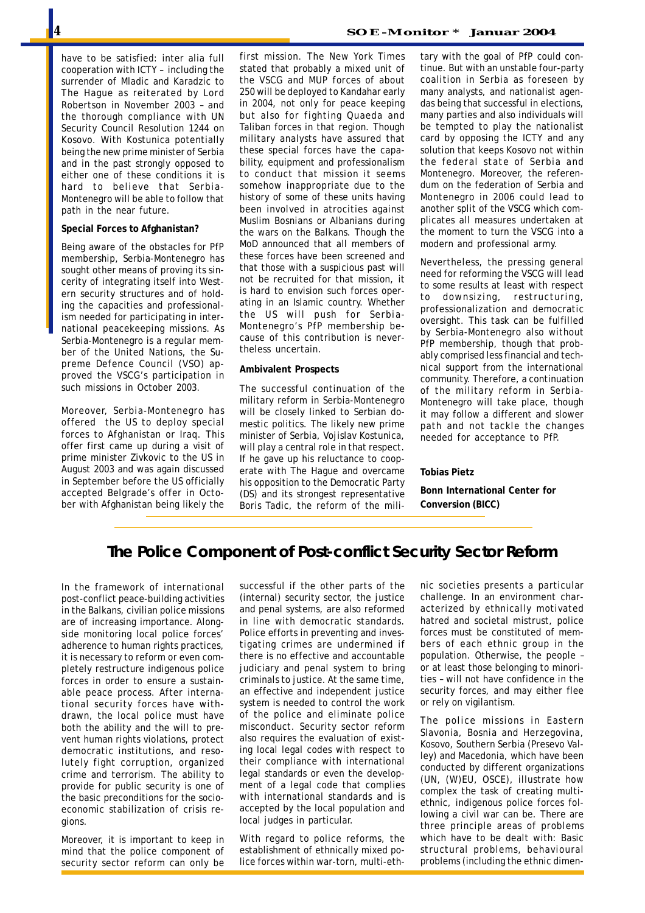have to be satisfied: inter alia full cooperation with ICTY – including the surrender of Mladic and Karadzic to The Hague as reiterated by Lord Robertson in November 2003 – and the thorough compliance with UN Security Council Resolution 1244 on Kosovo. With Kostunica potentially being the new prime minister of Serbia and in the past strongly opposed to either one of these conditions it is hard to believe that Serbia-Montenegro will be able to follow that path in the near future.

#### **Special Forces to Afghanistan?**

Being aware of the obstacles for PfP membership, Serbia-Montenegro has sought other means of proving its sincerity of integrating itself into Western security structures and of holding the capacities and professionalism needed for participating in international peacekeeping missions. As Serbia-Montenegro is a regular member of the United Nations, the Supreme Defence Council (VSO) approved the VSCG's participation in such missions in October 2003.

Moreover, Serbia-Montenegro has offered the US to deploy special forces to Afghanistan or Iraq. This offer first came up during a visit of prime minister Zivkovic to the US in August 2003 and was again discussed in September before the US officially accepted Belgrade's offer in October with Afghanistan being likely the first mission. The New York Times stated that probably a mixed unit of the VSCG and MUP forces of about 250 will be deployed to Kandahar early in 2004, not only for peace keeping but also for fighting Quaeda and Taliban forces in that region. Though military analysts have assured that these special forces have the capability, equipment and professionalism to conduct that mission it seems somehow inappropriate due to the history of some of these units having been involved in atrocities against Muslim Bosnians or Albanians during the wars on the Balkans. Though the MoD announced that all members of these forces have been screened and that those with a suspicious past will not be recruited for that mission, it is hard to envision such forces operating in an Islamic country. Whether the US will push for Serbia-Montenegro's PfP membership because of this contribution is nevertheless uncertain.

#### **Ambivalent Prospects**

The successful continuation of the military reform in Serbia-Montenegro will be closely linked to Serbian domestic politics. The likely new prime minister of Serbia, Vojislav Kostunica, will play a central role in that respect. If he gave up his reluctance to cooperate with The Hague and overcame his opposition to the Democratic Party (DS) and its strongest representative Boris Tadic, the reform of the mili-

tary with the goal of PfP could continue. But with an unstable four-party coalition in Serbia as foreseen by many analysts, and nationalist agendas being that successful in elections, many parties and also individuals will be tempted to play the nationalist card by opposing the ICTY and any solution that keeps Kosovo not within the federal state of Serbia and Montenegro. Moreover, the referendum on the federation of Serbia and

Montenegro in 2006 could lead to another split of the VSCG which complicates all measures undertaken at the moment to turn the VSCG into a modern and professional army.

Nevertheless, the pressing general need for reforming the VSCG will lead to some results at least with respect to downsizing, restructuring, professionalization and democratic oversight. This task can be fulfilled by Serbia-Montenegro also without PfP membership, though that probably comprised less financial and technical support from the international community. Therefore, a continuation of the military reform in Serbia-Montenegro will take place, though it may follow a different and slower path and not tackle the changes needed for acceptance to PfP.

#### **Tobias Pietz**

**Bonn International Center for Conversion (BICC)**

## **The Police Component of Post-conflict Security Sector Reform**

In the framework of international post-conflict peace-building activities in the Balkans, civilian police missions are of increasing importance. Alongside monitoring local police forces' adherence to human rights practices, it is necessary to reform or even completely restructure indigenous police forces in order to ensure a sustainable peace process. After international security forces have withdrawn, the local police must have both the ability and the will to prevent human rights violations, protect democratic institutions, and resolutely fight corruption, organized crime and terrorism. The ability to provide for public security is one of the basic preconditions for the socioeconomic stabilization of crisis regions.

Moreover, it is important to keep in mind that the police component of security sector reform can only be successful if the other parts of the (internal) security sector, the justice and penal systems, are also reformed in line with democratic standards. Police efforts in preventing and investigating crimes are undermined if there is no effective and accountable judiciary and penal system to bring criminals to justice. At the same time, an effective and independent justice system is needed to control the work of the police and eliminate police misconduct. Security sector reform also requires the evaluation of existing local legal codes with respect to their compliance with international legal standards or even the development of a legal code that complies with international standards and is accepted by the local population and local judges in particular.

With regard to police reforms, the establishment of ethnically mixed police forces within war-torn, multi-ethnic societies presents a particular challenge. In an environment characterized by ethnically motivated hatred and societal mistrust, police forces must be constituted of members of each ethnic group in the population. Otherwise, the people – or at least those belonging to minorities – will not have confidence in the security forces, and may either flee or rely on vigilantism.

The police missions in Eastern Slavonia, Bosnia and Herzegovina, Kosovo, Southern Serbia (Presevo Valley) and Macedonia, which have been conducted by different organizations (UN, (W)EU, OSCE), illustrate how complex the task of creating multiethnic, indigenous police forces following a civil war can be. There are three principle areas of problems which have to be dealt with: Basic structural problems, behavioural problems (including the ethnic dimen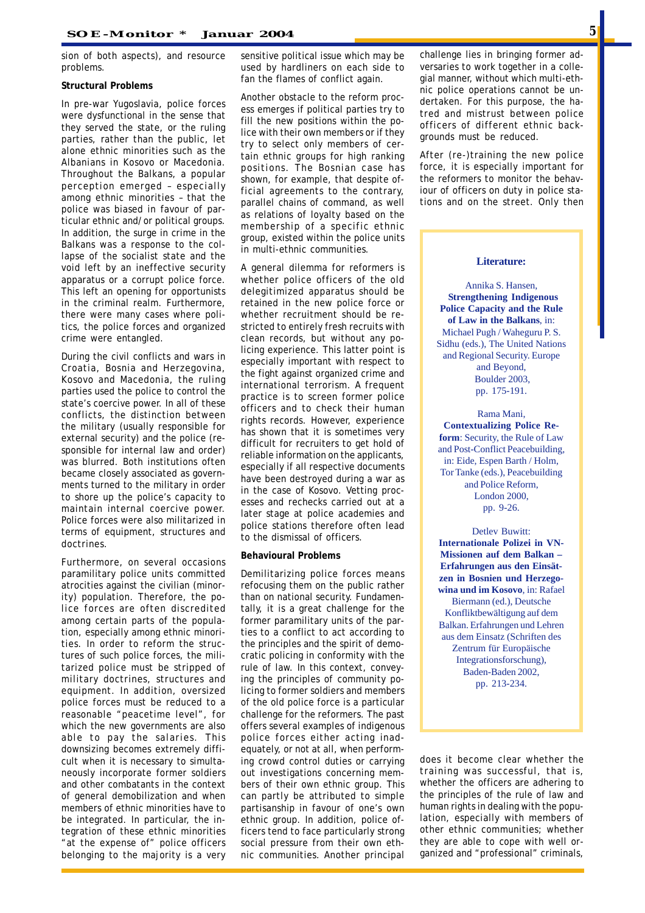sion of both aspects), and resource problems.

#### **Structural Problems**

In pre-war Yugoslavia, police forces were dysfunctional in the sense that they served the state, or the ruling parties, rather than the public, let alone ethnic minorities such as the Albanians in Kosovo or Macedonia. Throughout the Balkans, a popular perception emerged – especially among ethnic minorities – that the police was biased in favour of particular ethnic and/or political groups. In addition, the surge in crime in the Balkans was a response to the collapse of the socialist state and the void left by an ineffective security apparatus or a corrupt police force. This left an opening for opportunists in the criminal realm. Furthermore, there were many cases where politics, the police forces and organized crime were entangled.

During the civil conflicts and wars in Croatia, Bosnia and Herzegovina, Kosovo and Macedonia, the ruling parties used the police to control the state's coercive power. In all of these conflicts, the distinction between the military (usually responsible for external security) and the police (responsible for internal law and order) was blurred. Both institutions often became closely associated as governments turned to the military in order to shore up the police's capacity to maintain internal coercive power. Police forces were also militarized in terms of equipment, structures and doctrines.

Furthermore, on several occasions paramilitary police units committed atrocities against the civilian (minority) population. Therefore, the police forces are often discredited among certain parts of the population, especially among ethnic minorities. In order to reform the structures of such police forces, the militarized police must be stripped of military doctrines, structures and equipment. In addition, oversized police forces must be reduced to a reasonable "peacetime level", for which the new governments are also able to pay the salaries. This downsizing becomes extremely difficult when it is necessary to simultaneously incorporate former soldiers and other combatants in the context of general demobilization and when members of ethnic minorities have to be integrated. In particular, the integration of these ethnic minorities "at the expense of" police officers belonging to the majority is a very sensitive political issue which may be used by hardliners on each side to fan the flames of conflict again.

Another obstacle to the reform process emerges if political parties try to fill the new positions within the police with their own members or if they try to select only members of certain ethnic groups for high ranking positions. The Bosnian case has shown, for example, that despite official agreements to the contrary, parallel chains of command, as well as relations of loyalty based on the membership of a specific ethnic group, existed within the police units in multi-ethnic communities.

A general dilemma for reformers is whether police officers of the old delegitimized apparatus should be retained in the new police force or whether recruitment should be restricted to entirely fresh recruits with clean records, but without any policing experience. This latter point is especially important with respect to the fight against organized crime and international terrorism. A frequent practice is to screen former police officers and to check their human rights records. However, experience has shown that it is sometimes very difficult for recruiters to get hold of reliable information on the applicants, especially if all respective documents have been destroyed during a war as in the case of Kosovo. Vetting processes and rechecks carried out at a later stage at police academies and police stations therefore often lead to the dismissal of officers.

#### **Behavioural Problems**

Demilitarizing police forces means refocusing them on the public rather than on national security. Fundamentally, it is a great challenge for the former paramilitary units of the parties to a conflict to act according to the principles and the spirit of democratic policing in conformity with the rule of law. In this context, conveying the principles of community policing to former soldiers and members of the old police force is a particular challenge for the reformers. The past offers several examples of indigenous police forces either acting inadequately, or not at all, when performing crowd control duties or carrying out investigations concerning members of their own ethnic group. This can partly be attributed to simple partisanship in favour of one's own ethnic group. In addition, police officers tend to face particularly strong social pressure from their own ethnic communities. Another principal challenge lies in bringing former adversaries to work together in a collegial manner, without which multi-ethnic police operations cannot be undertaken. For this purpose, the hatred and mistrust between police officers of different ethnic backgrounds must be reduced.

After (re-)training the new police force, it is especially important for the reformers to monitor the behaviour of officers on duty in police stations and on the street. Only then

#### **Literature:**

Annika S. Hansen, **Strengthening Indigenous Police Capacity and the Rule of Law in the Balkans**, in: Michael Pugh / Waheguru P. S. Sidhu (eds.), The United Nations and Regional Security. Europe and Beyond, Boulder 2003, pp. 175-191.

Rama Mani, **Contextualizing Police Reform**: Security, the Rule of Law and Post-Conflict Peacebuilding, in: Eide, Espen Barth / Holm, Tor Tanke (eds.), Peacebuilding and Police Reform, London 2000, pp. 9-26.

Detlev Buwitt: **Internationale Polizei in VN-Missionen auf dem Balkan – Erfahrungen aus den Einsätzen in Bosnien und Herzegowina und im Kosovo**, in: Rafael Biermann (ed.), Deutsche Konfliktbewältigung auf dem Balkan. Erfahrungen und Lehren aus dem Einsatz (Schriften des Zentrum für Europäische Integrationsforschung), Baden-Baden 2002, pp. 213-234.

does it become clear whether the training was successful, that is, whether the officers are adhering to the principles of the rule of law and human rights in dealing with the population, especially with members of other ethnic communities; whether they are able to cope with well organized and "professional" criminals,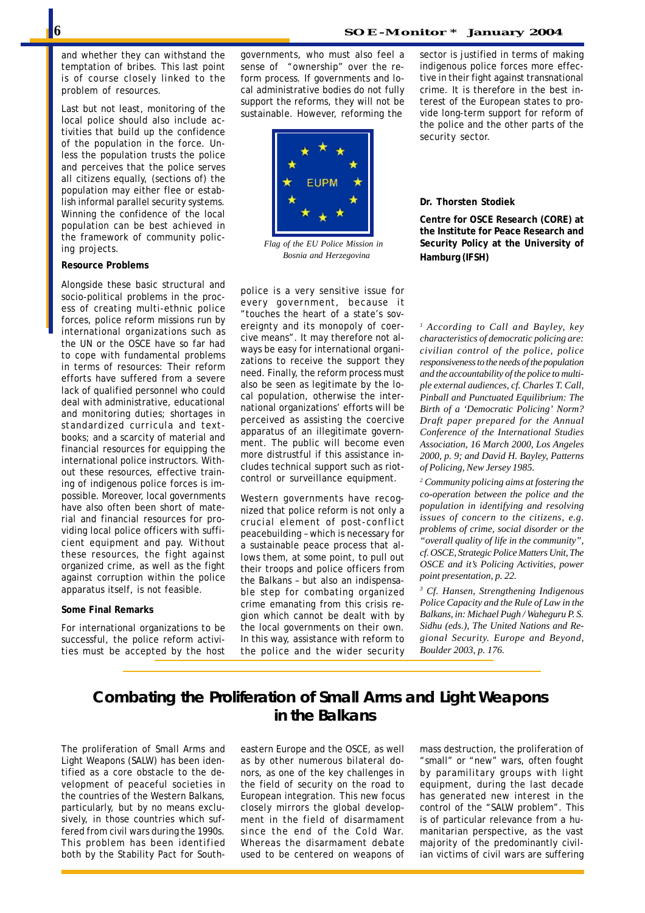and whether they can withstand the temptation of bribes. This last point is of course closely linked to the problem of resources.

Last but not least, monitoring of the local police should also include activities that build up the confidence of the population in the force. Unless the population trusts the police and perceives that the police serves all citizens equally, (sections of) the population may either flee or establish informal parallel security systems. Winning the confidence of the local population can be best achieved in the framework of community policing projects.

#### **Resource Problems**

Alongside these basic structural and socio-political problems in the process of creating multi-ethnic police forces, police reform missions run by international organizations such as the UN or the OSCE have so far had to cope with fundamental problems in terms of resources: Their reform efforts have suffered from a severe lack of qualified personnel who could deal with administrative, educational and monitoring duties; shortages in standardized curricula and textbooks; and a scarcity of material and financial resources for equipping the international police instructors. Without these resources, effective training of indigenous police forces is impossible. Moreover, local governments have also often been short of material and financial resources for providing local police officers with sufficient equipment and pay. Without these resources, the fight against organized crime, as well as the fight against corruption within the police apparatus itself, is not feasible.

#### **Some Final Remarks**

For international organizations to be successful, the police reform activities must be accepted by the host governments, who must also feel a sense of "ownership" over the reform process. If governments and local administrative bodies do not fully support the reforms, they will not be sustainable. However, reforming the



 *Flag of the EU Police Mission in Bosnia and Herzegovina*

police is a very sensitive issue for every government, because it "touches the heart of a state's sovereignty and its monopoly of coercive means". It may therefore not always be easy for international organizations to receive the support they need. Finally, the reform process must also be seen as legitimate by the local population, otherwise the international organizations' efforts will be perceived as assisting the coercive apparatus of an illegitimate government. The public will become even more distrustful if this assistance includes technical support such as riotcontrol or surveillance equipment.

Western governments have recognized that police reform is not only a crucial element of post-conflict peacebuilding – which is necessary for a sustainable peace process that allows them, at some point, to pull out their troops and police officers from the Balkans – but also an indispensable step for combating organized crime emanating from this crisis region which cannot be dealt with by the local governments on their own. In this way, assistance with reform to the police and the wider security sector is justified in terms of making indigenous police forces more effective in their fight against transnational crime. It is therefore in the best interest of the European states to provide long-term support for reform of the police and the other parts of the security sector.

#### **Dr. Thorsten Stodiek**

**Centre for OSCE Research (CORE) at the Institute for Peace Research and Security Policy at the University of Hamburg (IFSH)**

*1 According to Call and Bayley, key characteristics of democratic policing are: civilian control of the police, police responsiveness to the needs of the population and the accountability of the police to multiple external audiences, cf. Charles T. Call, Pinball and Punctuated Equilibrium: The Birth of a 'Democratic Policing' Norm? Draft paper prepared for the Annual Conference of the International Studies Association, 16 March 2000, Los Angeles 2000, p. 9; and David H. Bayley, Patterns of Policing, New Jersey 1985.*

*2 Community policing aims at fostering the co-operation between the police and the population in identifying and resolving issues of concern to the citizens, e.g. problems of crime, social disorder or the "overall quality of life in the community", cf. OSCE, Strategic Police Matters Unit, The OSCE and it's Policing Activities, power point presentation, p. 22.*

*3 Cf. Hansen, Strengthening Indigenous Police Capacity and the Rule of Law in the Balkans, in: Michael Pugh / Waheguru P. S. Sidhu (eds.), The United Nations and Regional Security. Europe and Beyond, Boulder 2003, p. 176.*

## **Combating the Proliferation of Small Arms and Light Weapons in the Balkans**

The proliferation of Small Arms and Light Weapons (SALW) has been identified as a core obstacle to the development of peaceful societies in the countries of the Western Balkans, particularly, but by no means exclusively, in those countries which suffered from civil wars during the 1990s. This problem has been identified both by the Stability Pact for Southeastern Europe and the OSCE, as well as by other numerous bilateral donors, as one of the key challenges in the field of security on the road to European integration. This new focus closely mirrors the global development in the field of disarmament since the end of the Cold War. Whereas the disarmament debate used to be centered on weapons of

mass destruction, the proliferation of "small" or "new" wars, often fought by paramilitary groups with light equipment, during the last decade has generated new interest in the control of the "SALW problem". This is of particular relevance from a humanitarian perspective, as the vast majority of the predominantly civilian victims of civil wars are suffering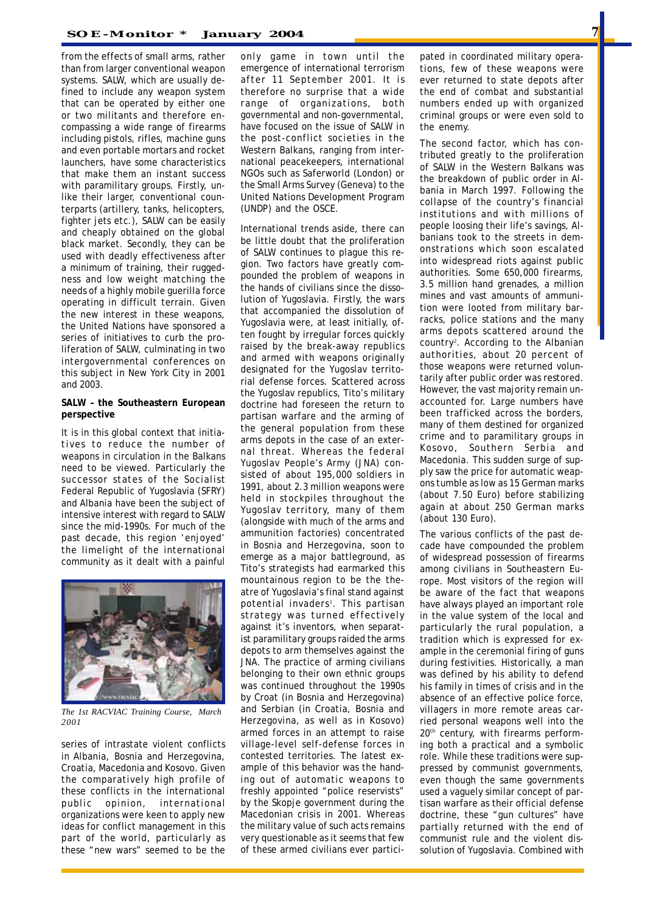from the effects of small arms, rather than from larger conventional weapon systems. SALW, which are usually defined to include any weapon system that can be operated by either one or two militants and therefore encompassing a wide range of firearms including pistols, rifles, machine guns and even portable mortars and rocket launchers, have some characteristics that make them an instant success with paramilitary groups. Firstly, unlike their larger, conventional counterparts (artillery, tanks, helicopters, fighter jets etc.), SALW can be easily and cheaply obtained on the global black market. Secondly, they can be used with deadly effectiveness after a minimum of training, their ruggedness and low weight matching the needs of a highly mobile guerilla force operating in difficult terrain. Given the new interest in these weapons, the United Nations have sponsored a series of initiatives to curb the proliferation of SALW, culminating in two intergovernmental conferences on this subject in New York City in 2001 and 2003.

#### **SALW – the Southeastern European perspective**

It is in this global context that initiatives to reduce the number of weapons in circulation in the Balkans need to be viewed. Particularly the successor states of the Socialist Federal Republic of Yugoslavia (SFRY) and Albania have been the subject of intensive interest with regard to SALW since the mid-1990s. For much of the past decade, this region 'enjoyed' the limelight of the international community as it dealt with a painful



*The 1st RACVIAC Training Course, March 2001*

series of intrastate violent conflicts in Albania, Bosnia and Herzegovina, Croatia, Macedonia and Kosovo. Given the comparatively high profile of these conflicts in the international public opinion, international organizations were keen to apply new ideas for conflict management in this part of the world, particularly as these "new wars" seemed to be the

only game in town until the emergence of international terrorism after 11 September 2001. It is therefore no surprise that a wide range of organizations, both governmental and non-governmental, have focused on the issue of SALW in the post-conflict societies in the Western Balkans, ranging from international peacekeepers, international NGOs such as Saferworld (London) or the Small Arms Survey (Geneva) to the United Nations Development Program (UNDP) and the OSCE.

International trends aside, there can be little doubt that the proliferation of SALW continues to plague this region. Two factors have greatly compounded the problem of weapons in the hands of civilians since the dissolution of Yugoslavia. Firstly, the wars that accompanied the dissolution of Yugoslavia were, at least initially, often fought by irregular forces quickly raised by the break-away republics and armed with weapons originally designated for the Yugoslav territorial defense forces. Scattered across the Yugoslav republics, Tito's military doctrine had foreseen the return to partisan warfare and the arming of the general population from these arms depots in the case of an external threat. Whereas the federal Yugoslav People's Army (JNA) consisted of about 195,000 soldiers in 1991, about 2.3 million weapons were held in stockpiles throughout the Yugoslav territory, many of them (alongside with much of the arms and ammunition factories) concentrated in Bosnia and Herzegovina, soon to emerge as a major battleground, as Tito's strategists had earmarked this mountainous region to be the theatre of Yugoslavia's final stand against potential invaders<sup>1</sup>. This partisan strategy was turned effectively against it's inventors, when separatist paramilitary groups raided the arms depots to arm themselves against the JNA. The practice of arming civilians belonging to their own ethnic groups was continued throughout the 1990s by Croat (in Bosnia and Herzegovina) and Serbian (in Croatia, Bosnia and Herzegovina, as well as in Kosovo) armed forces in an attempt to raise village-level self-defense forces in contested territories. The latest example of this behavior was the handing out of automatic weapons to freshly appointed "police reservists" by the Skopje government during the Macedonian crisis in 2001. Whereas the military value of such acts remains very questionable as it seems that few of these armed civilians ever participated in coordinated military operations, few of these weapons were ever returned to state depots after the end of combat and substantial numbers ended up with organized criminal groups or were even sold to the enemy.

The second factor, which has contributed greatly to the proliferation of SALW in the Western Balkans was the breakdown of public order in Albania in March 1997. Following the collapse of the country's financial institutions and with millions of people loosing their life's savings, Albanians took to the streets in demonstrations which soon escalated into widespread riots against public authorities. Some 650,000 firearms, 3.5 million hand grenades, a million mines and vast amounts of ammunition were looted from military barracks, police stations and the many arms depots scattered around the country<sup>2</sup> . According to the Albanian authorities, about 20 percent of those weapons were returned voluntarily after public order was restored. However, the vast majority remain unaccounted for. Large numbers have been trafficked across the borders, many of them destined for organized crime and to paramilitary groups in Kosovo, Southern Serbia and Macedonia. This sudden surge of supply saw the price for automatic weapons tumble as low as 15 German marks (about 7.50 Euro) before stabilizing again at about 250 German marks (about 130 Euro).

The various conflicts of the past decade have compounded the problem of widespread possession of firearms among civilians in Southeastern Europe. Most visitors of the region will be aware of the fact that weapons have always played an important role in the value system of the local and particularly the rural population, a tradition which is expressed for example in the ceremonial firing of guns during festivities. Historically, a man was defined by his ability to defend his family in times of crisis and in the absence of an effective police force, villagers in more remote areas carried personal weapons well into the 20<sup>th</sup> century, with firearms performing both a practical and a symbolic role. While these traditions were suppressed by communist governments, even though the same governments used a vaguely similar concept of partisan warfare as their official defense doctrine, these "gun cultures" have partially returned with the end of communist rule and the violent dissolution of Yugoslavia. Combined with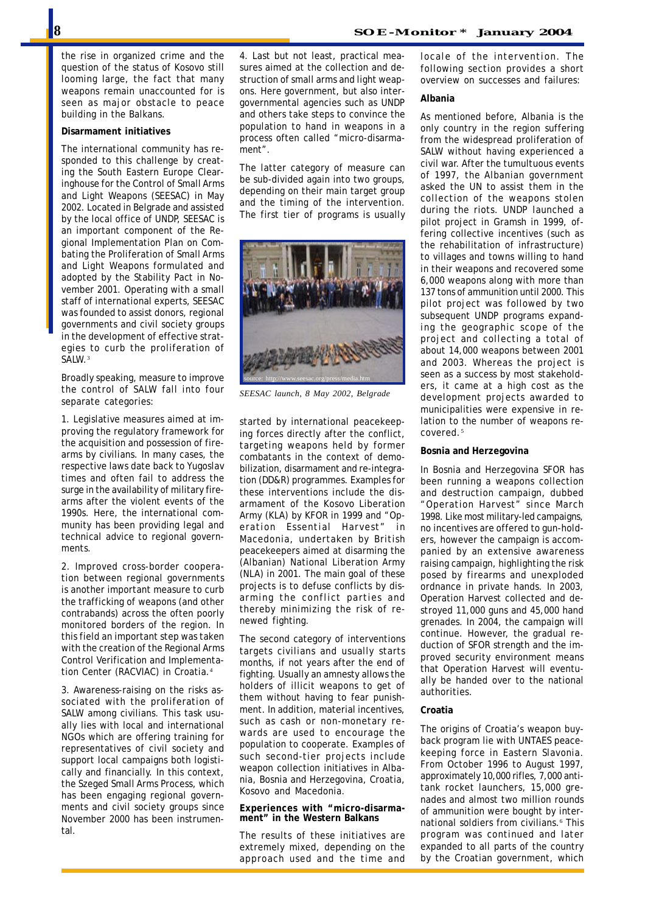the rise in organized crime and the question of the status of Kosovo still looming large, the fact that many weapons remain unaccounted for is seen as major obstacle to peace building in the Balkans.

#### **Disarmament initiatives**

The international community has responded to this challenge by creating the South Eastern Europe Clearinghouse for the Control of Small Arms and Light Weapons (SEESAC) in May 2002. Located in Belgrade and assisted by the local office of UNDP, SEESAC is an important component of the Regional Implementation Plan on Combating the Proliferation of Small Arms and Light Weapons formulated and adopted by the Stability Pact in November 2001. Operating with a small staff of international experts, SEESAC was founded to assist donors, regional governments and civil society groups in the development of effective strategies to curb the proliferation of SALW.<sup>3</sup>

Broadly speaking, measure to improve the control of SALW fall into four separate categories:

1. Legislative measures aimed at improving the regulatory framework for the acquisition and possession of firearms by civilians. In many cases, the respective laws date back to Yugoslav times and often fail to address the surge in the availability of military firearms after the violent events of the 1990s. Here, the international community has been providing legal and technical advice to regional governments.

2. Improved cross-border cooperation between regional governments is another important measure to curb the trafficking of weapons (and other contrabands) across the often poorly monitored borders of the region. In this field an important step was taken with the creation of the Regional Arms Control Verification and Implementation Center (RACVIAC) in Croatia.<sup>4</sup>

3. Awareness-raising on the risks associated with the proliferation of SALW among civilians. This task usually lies with local and international NGOs which are offering training for representatives of civil society and support local campaigns both logistically and financially. In this context, the Szeged Small Arms Process, which has been engaging regional governments and civil society groups since November 2000 has been instrumental.

4. Last but not least, practical measures aimed at the collection and destruction of small arms and light weapons. Here government, but also intergovernmental agencies such as UNDP and others take steps to convince the population to hand in weapons in a process often called "micro-disarmament".

The latter category of measure can be sub-divided again into two groups, depending on their main target group and the timing of the intervention. The first tier of programs is usually



*SEESAC launch, 8 May 2002, Belgrade*

started by international peacekeeping forces directly after the conflict, targeting weapons held by former combatants in the context of demobilization, disarmament and re-integration (DD&R) programmes. Examples for these interventions include the disarmament of the Kosovo Liberation Army (KLA) by KFOR in 1999 and "Operation Essential Harvest" in Macedonia, undertaken by British peacekeepers aimed at disarming the (Albanian) National Liberation Army (NLA) in 2001. The main goal of these projects is to defuse conflicts by disarming the conflict parties and thereby minimizing the risk of renewed fighting.

The second category of interventions targets civilians and usually starts months, if not years after the end of fighting. Usually an amnesty allows the holders of illicit weapons to get of them without having to fear punishment. In addition, material incentives, such as cash or non-monetary rewards are used to encourage the population to cooperate. Examples of such second-tier projects include weapon collection initiatives in Albania, Bosnia and Herzegovina, Croatia, Kosovo and Macedonia.

**Experiences with "micro-disarmament" in the Western Balkans**

The results of these initiatives are extremely mixed, depending on the approach used and the time and locale of the intervention. The following section provides a short overview on successes and failures:

#### **Albania**

As mentioned before, Albania is the only country in the region suffering from the widespread proliferation of SALW without having experienced a civil war. After the tumultuous events of 1997, the Albanian government asked the UN to assist them in the collection of the weapons stolen during the riots. UNDP launched a pilot project in Gramsh in 1999, offering collective incentives (such as the rehabilitation of infrastructure) to villages and towns willing to hand in their weapons and recovered some 6,000 weapons along with more than 137 tons of ammunition until 2000. This pilot project was followed by two subsequent UNDP programs expanding the geographic scope of the project and collecting a total of about 14,000 weapons between 2001 and 2003. Whereas the project is seen as a success by most stakeholders, it came at a high cost as the development projects awarded to municipalities were expensive in relation to the number of weapons recovered.<sup>5</sup>

#### **Bosnia and Herzegovina**

In Bosnia and Herzegovina SFOR has been running a weapons collection and destruction campaign, dubbed "Operation Harvest" since March 1998. Like most military-led campaigns, no incentives are offered to gun-holders, however the campaign is accompanied by an extensive awareness raising campaign, highlighting the risk posed by firearms and unexploded ordnance in private hands. In 2003, Operation Harvest collected and destroyed 11,000 guns and 45,000 hand grenades. In 2004, the campaign will continue. However, the gradual reduction of SFOR strength and the improved security environment means that Operation Harvest will eventually be handed over to the national authorities.

#### **Croatia**

The origins of Croatia's weapon buyback program lie with UNTAES peacekeeping force in Eastern Slavonia. From October 1996 to August 1997, approximately 10,000 rifles, 7,000 antitank rocket launchers, 15,000 grenades and almost two million rounds of ammunition were bought by international soldiers from civilians.<sup>6</sup> This program was continued and later expanded to all parts of the country by the Croatian government, which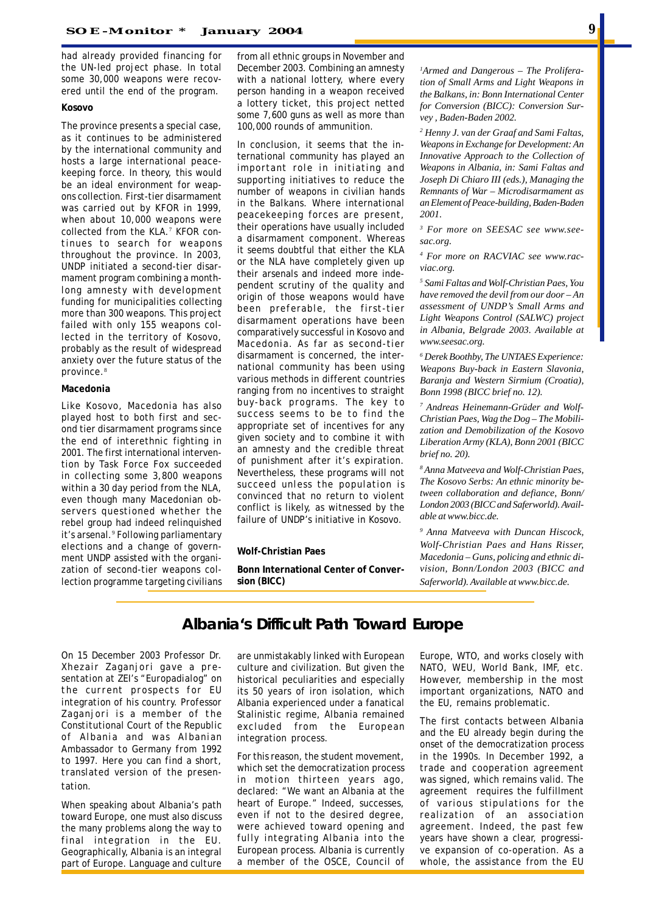had already provided financing for the UN-led project phase. In total some 30,000 weapons were recovered until the end of the program.

#### **Kosovo**

The province presents a special case, as it continues to be administered by the international community and hosts a large international peacekeeping force. In theory, this would be an ideal environment for weapons collection. First-tier disarmament was carried out by KFOR in 1999, when about 10,000 weapons were collected from the KLA.<sup>7</sup> KFOR continues to search for weapons throughout the province. In 2003, UNDP initiated a second-tier disarmament program combining a monthlong amnesty with development funding for municipalities collecting more than 300 weapons. This project failed with only 155 weapons collected in the territory of Kosovo, probably as the result of widespread anxiety over the future status of the province.<sup>8</sup>

#### **Macedonia**

Like Kosovo, Macedonia has also played host to both first and second tier disarmament programs since the end of interethnic fighting in 2001. The first international intervention by Task Force Fox succeeded in collecting some 3,800 weapons within a 30 day period from the NLA, even though many Macedonian observers questioned whether the rebel group had indeed relinquished it's arsenal.<sup>9</sup> Following parliamentary elections and a change of government UNDP assisted with the organization of second-tier weapons collection programme targeting civilians from all ethnic groups in November and December 2003. Combining an amnesty with a national lottery, where every person handing in a weapon received a lottery ticket, this project netted some 7,600 guns as well as more than 100,000 rounds of ammunition.

In conclusion, it seems that the international community has played an important role in initiating and supporting initiatives to reduce the number of weapons in civilian hands in the Balkans. Where international peacekeeping forces are present, their operations have usually included a disarmament component. Whereas it seems doubtful that either the KLA or the NLA have completely given up their arsenals and indeed more independent scrutiny of the quality and origin of those weapons would have been preferable, the first-tier disarmament operations have been comparatively successful in Kosovo and Macedonia. As far as second-tier disarmament is concerned, the international community has been using various methods in different countries ranging from no incentives to straight buy-back programs. The key to success seems to be to find the appropriate set of incentives for any given society and to combine it with an amnesty and the credible threat of punishment after it's expiration. Nevertheless, these programs will not succeed unless the population is convinced that no return to violent conflict is likely, as witnessed by the failure of UNDP's initiative in Kosovo.

#### **Wolf-Christian Paes**

**Bonn International Center of Conversion (BICC)**

*1 Armed and Dangerous – The Proliferation of Small Arms and Light Weapons in the Balkans, in: Bonn International Center for Conversion (BICC): Conversion Survey , Baden-Baden 2002.*

*2 Henny J. van der Graaf and Sami Faltas, Weapons in Exchange for Development: An Innovative Approach to the Collection of Weapons in Albania, in: Sami Faltas and Joseph Di Chiaro III (eds.), Managing the Remnants of War – Microdisarmament as an Element of Peace-building, Baden-Baden 2001.*

*3 For more on SEESAC see www.seesac.org.*

*4 For more on RACVIAC see www.racviac.org.*

*5 Sami Faltas and Wolf-Christian Paes, You have removed the devil from our door – An assessment of UNDP's Small Arms and Light Weapons Control (SALWC) project in Albania, Belgrade 2003. Available at www.seesac.org.*

*6 Derek Boothby, The UNTAES Experience: Weapons Buy-back in Eastern Slavonia, Baranja and Western Sirmium (Croatia), Bonn 1998 (BICC brief no. 12).*

*7 Andreas Heinemann-Grüder and Wolf-Christian Paes, Wag the Dog – The Mobilization and Demobilization of the Kosovo Liberation Army (KLA), Bonn 2001 (BICC brief no. 20).*

*8 Anna Matveeva and Wolf-Christian Paes, The Kosovo Serbs: An ethnic minority between collaboration and defiance, Bonn/ London 2003 (BICC and Saferworld). Available at www.bicc.de.*

*9 Anna Matveeva with Duncan Hiscock, Wolf-Christian Paes and Hans Risser, Macedonia – Guns, policing and ethnic division, Bonn/London 2003 (BICC and Saferworld). Available at www.bicc.de.*

### **Albania's Difficult Path Toward Europe**

*On 15 December 2003 Professor Dr. Xhezair Zaganjori gave a presentation at ZEI's "Europadialog" on the current prospects for EU integration of his country. Professor Zaganjori is a member of the Constitutional Court of the Republic of Albania and was Albanian Ambassador to Germany from 1992 to 1997. Here you can find a short, translated version of the presentation.*

When speaking about Albania's path toward Europe, one must also discuss the many problems along the way to final integration in the EU. Geographically, Albania is an integral part of Europe. Language and culture are unmistakably linked with European culture and civilization. But given the historical peculiarities and especially its 50 years of iron isolation, which Albania experienced under a fanatical Stalinistic regime, Albania remained excluded from the European integration process.

For this reason, the student movement, which set the democratization process in motion thirteen years ago, declared: "We want an Albania at the heart of Europe." Indeed, successes, even if not to the desired degree, were achieved toward opening and fully integrating Albania into the European process. Albania is currently a member of the OSCE, Council of Europe, WTO, and works closely with NATO, WEU, World Bank, IMF, etc. However, membership in the most important organizations, NATO and the EU, remains problematic.

The first contacts between Albania and the EU already begin during the onset of the democratization process in the 1990s. In December 1992, a trade and cooperation agreement was signed, which remains valid. The agreement requires the fulfillment of various stipulations for the realization of an association agreement. Indeed, the past few years have shown a clear, progressive expansion of co-operation. As a whole, the assistance from the EU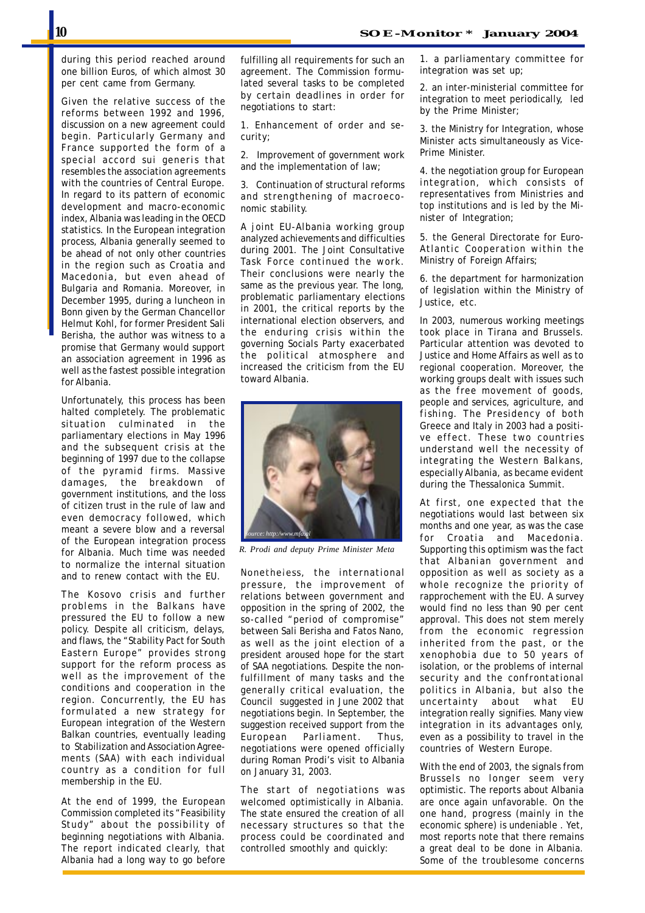during this period reached around one billion Euros, of which almost 30 per cent came from Germany.

Given the relative success of the reforms between 1992 and 1996, discussion on a new agreement could begin. Particularly Germany and France supported the form of a special accord *sui generis* that resembles the association agreements with the countries of Central Europe. In regard to its pattern of economic development and macro-economic index, Albania was leading in the OECD statistics. In the European integration process, Albania generally seemed to be ahead of not only other countries in the region such as Croatia and Macedonia, but even ahead of Bulgaria and Romania. Moreover, in December 1995, during a luncheon in Bonn given by the German Chancellor Helmut Kohl, for former President Sali Berisha, the author was witness to a promise that Germany would support an association agreement in 1996 as well as the fastest possible integration for Albania.

Unfortunately, this process has been halted completely. The problematic situation culminated in the parliamentary elections in May 1996 and the subsequent crisis at the beginning of 1997 due to the collapse of the pyramid firms. Massive damages, the breakdown of government institutions, and the loss of citizen trust in the rule of law and even democracy followed, which meant a severe blow and a reversal of the European integration process for Albania. Much time was needed to normalize the internal situation and to renew contact with the EU.

The Kosovo crisis and further problems in the Balkans have pressured the EU to follow a new policy. Despite all criticism, delays, and flaws, the "Stability Pact for South Eastern Europe" provides strong support for the reform process as well as the improvement of the conditions and cooperation in the region. Concurrently, the EU has formulated a new strategy for European integration of the Western Balkan countries, eventually leading to Stabilization and Association Agreements (SAA) with each individual country as a condition for full membership in the EU.

At the end of 1999, the European Commission completed its "Feasibility Study" about the possibility of beginning negotiations with Albania. The report indicated clearly, that Albania had a long way to go before fulfilling all requirements for such an agreement. The Commission formulated several tasks to be completed by certain deadlines in order for negotiations to start:

1. Enhancement of order and security;

2. Improvement of government work and the implementation of law;

3. Continuation of structural reforms and strengthening of macroeconomic stability.

A joint EU-Albania working group analyzed achievements and difficulties during 2001. The Joint Consultative Task Force continued the work. Their conclusions were nearly the same as the previous year. The long, problematic parliamentary elections in 2001, the critical reports by the international election observers, and the enduring crisis within the governing Socials Party exacerbated the political atmosphere and increased the criticism from the EU toward Albania.



*R. Prodi and deputy Prime Minister Meta*

Nonetheless, the international pressure, the improvement of relations between government and opposition in the spring of 2002, the so-called "period of compromise" between Sali Berisha and Fatos Nano, as well as the joint election of a president aroused hope for the start of SAA negotiations. Despite the nonfulfillment of many tasks and the generally critical evaluation, the Council suggested in June 2002 that negotiations begin. In September, the suggestion received support from the European Parliament. Thus, negotiations were opened officially during Roman Prodi's visit to Albania on January 31, 2003.

The start of negotiations was welcomed optimistically in Albania. The state ensured the creation of all necessary structures so that the process could be coordinated and controlled smoothly and quickly:

1. a parliamentary committee for integration was set up;

2. an inter-ministerial committee for integration to meet periodically, led by the Prime Minister;

3. the Ministry for Integration, whose Minister acts simultaneously as Vice-Prime Minister.

4. the negotiation group for European integration, which consists of representatives from Ministries and top institutions and is led by the Minister of Integration;

5. the General Directorate for Euro-Atlantic Cooperation within the Ministry of Foreign Affairs;

6. the department for harmonization of legislation within the Ministry of Justice, etc.

In 2003, numerous working meetings took place in Tirana and Brussels. Particular attention was devoted to Justice and Home Affairs as well as to regional cooperation. Moreover, the working groups dealt with issues such as the free movement of goods, people and services, agriculture, and fishing. The Presidency of both Greece and Italy in 2003 had a positive effect. These two countries understand well the necessity of integrating the Western Balkans, especially Albania, as became evident during the Thessalonica Summit.

At first, one expected that the negotiations would last between six months and one year, as was the case for Croatia and Macedonia. Supporting this optimism was the fact that Albanian government and opposition as well as society as a whole recognize the priority of rapprochement with the EU. A survey would find no less than 90 per cent approval. This does not stem merely from the economic regression inherited from the past, or the xenophobia due to 50 years of isolation, or the problems of internal security and the confrontational politics in Albania, but also the uncertainty about what EU integration really signifies. Many view integration in its advantages only, even as a possibility to travel in the countries of Western Europe.

With the end of 2003, the signals from Brussels no longer seem very optimistic. The reports about Albania are once again unfavorable. On the one hand, progress (mainly in the economic sphere) is undeniable . Yet, most reports note that there remains a great deal to be done in Albania. Some of the troublesome concerns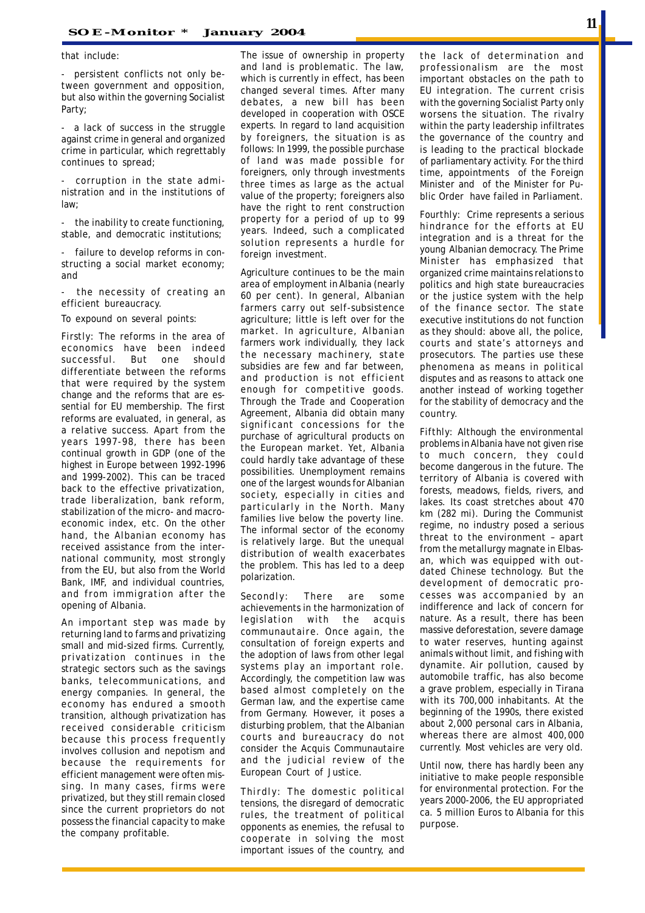that include:

- persistent conflicts not only between government and opposition, but also within the governing Socialist Party;

- a lack of success in the struggle against crime in general and organized crime in particular, which regrettably continues to spread;

corruption in the state administration and in the institutions of law;

- the inability to create functioning, stable, and democratic institutions;

failure to develop reforms in constructing a social market economy; and

the necessity of creating an efficient bureaucracy.

To expound on several points:

*Firstly:* The reforms in the area of economics have been indeed successful. But one should differentiate between the reforms that were required by the system change and the reforms that are essential for EU membership. The first reforms are evaluated, in general, as a relative success. Apart from the years 1997-98, there has been continual growth in GDP (one of the highest in Europe between 1992-1996 and 1999-2002). This can be traced back to the effective privatization, trade liberalization, bank reform, stabilization of the micro- and macroeconomic index, etc. On the other hand, the Albanian economy has received assistance from the international community, most strongly from the EU, but also from the World Bank, IMF, and individual countries, and from immigration after the opening of Albania.

An important step was made by returning land to farms and privatizing small and mid-sized firms. Currently, privatization continues in the strategic sectors such as the savings banks, telecommunications, and energy companies. In general, the economy has endured a smooth transition, although privatization has received considerable criticism because this process frequently involves collusion and nepotism and because the requirements for efficient management were often missing. In many cases, firms were privatized, but they still remain closed since the current proprietors do not possess the financial capacity to make the company profitable.

The issue of ownership in property and land is problematic. The law, which is currently in effect, has been changed several times. After many debates, a new bill has been developed in cooperation with OSCE experts. In regard to land acquisition by foreigners, the situation is as follows: In 1999, the possible purchase of land was made possible for foreigners, only through investments three times as large as the actual value of the property; foreigners also have the right to rent construction property for a period of up to 99 years. Indeed, such a complicated solution represents a hurdle for foreign investment.

Agriculture continues to be the main area of employment in Albania (nearly 60 per cent). In general, Albanian farmers carry out self-subsistence agriculture; little is left over for the market. In agriculture, Albanian farmers work individually, they lack the necessary machinery, state subsidies are few and far between, and production is not efficient enough for competitive goods. Through the Trade and Cooperation Agreement, Albania did obtain many significant concessions for the purchase of agricultural products on the European market. Yet, Albania could hardly take advantage of these possibilities. Unemployment remains one of the largest wounds for Albanian society, especially in cities and particularly in the North. Many families live below the poverty line. The informal sector of the economy is relatively large. But the unequal distribution of wealth exacerbates the problem. This has led to a deep polarization.

*Secondly:* There are some achievements in the harmonization of legislation with the *acquis communautaire*. Once again, the consultation of foreign experts and the adoption of laws from other legal systems play an important role. Accordingly, the competition law was based almost completely on the German law, and the expertise came from Germany. However, it poses a disturbing problem, that the Albanian courts and bureaucracy do not consider the Acquis Communautaire and the judicial review of the European Court of Justice.

*Thirdly:* The domestic political tensions, the disregard of democratic rules, the treatment of political opponents as enemies, the refusal to cooperate in solving the most important issues of the country, and the lack of determination and professionalism are the most important obstacles on the path to EU integration. The current crisis with the governing Socialist Party only worsens the situation. The rivalry within the party leadership infiltrates the governance of the country and is leading to the practical blockade of parliamentary activity. For the third time, appointments of the Foreign Minister and of the Minister for Public Order have failed in Parliament.

*Fourthly:* Crime represents a serious hindrance for the efforts at EU integration and is a threat for the young Albanian democracy. The Prime Minister has emphasized that organized crime maintains relations to politics and high state bureaucracies or the justice system with the help of the finance sector. The state executive institutions do not function as they should: above all, the police, courts and state's attorneys and prosecutors. The parties use these phenomena as means in political disputes and as reasons to attack one another instead of working together for the stability of democracy and the country.

*Fifthly:* Although the environmental problems in Albania have not given rise to much concern, they could become dangerous in the future. The territory of Albania is covered with forests, meadows, fields, rivers, and lakes. Its coast stretches about 470 km (282 mi). During the Communist regime, no industry posed a serious threat to the environment – apart from the metallurgy magnate in Elbasan, which was equipped with outdated Chinese technology. But the development of democratic processes was accompanied by an indifference and lack of concern for nature. As a result, there has been massive deforestation, severe damage to water reserves, hunting against animals without limit, and fishing with dynamite. Air pollution, caused by automobile traffic, has also become a grave problem, especially in Tirana with its 700,000 inhabitants. At the beginning of the 1990s, there existed about 2,000 personal cars in Albania, whereas there are almost 400,000 currently. Most vehicles are very old.

Until now, there has hardly been any initiative to make people responsible for environmental protection. For the years 2000-2006, the EU appropriated ca. 5 million Euros to Albania for this purpose.